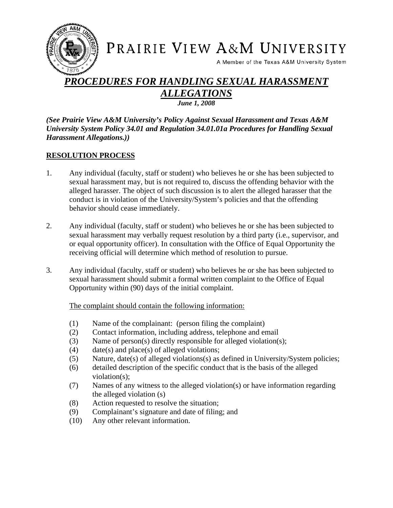

# PRAIRIE VIEW A&M UNIVERSITY

A Member of the Texas A&M University System

# *PROCEDURES FOR HANDLING SEXUAL HARASSMENT ALLEGATIONS June 1, 2008*

*(See Prairie View A&M University's Policy Against Sexual Harassment and Texas A&M University System Policy 34.01 and Regulation 34.01.01a Procedures for Handling Sexual Harassment Allegations.))* 

#### **RESOLUTION PROCESS**

- 1. Any individual (faculty, staff or student) who believes he or she has been subjected to sexual harassment may, but is not required to, discuss the offending behavior with the alleged harasser. The object of such discussion is to alert the alleged harasser that the conduct is in violation of the University/System's policies and that the offending behavior should cease immediately.
- 2. Any individual (faculty, staff or student) who believes he or she has been subjected to sexual harassment may verbally request resolution by a third party (i.e., supervisor, and or equal opportunity officer). In consultation with the Office of Equal Opportunity the receiving official will determine which method of resolution to pursue.
- 3. Any individual (faculty, staff or student) who believes he or she has been subjected to sexual harassment should submit a formal written complaint to the Office of Equal Opportunity within (90) days of the initial complaint.

The complaint should contain the following information:

- (1) Name of the complainant: (person filing the complaint)
- (2) Contact information, including address, telephone and email
- (3) Name of person(s) directly responsible for alleged violation(s);
- (4) date(s) and place(s) of alleged violations;
- (5) Nature, date(s) of alleged violations(s) as defined in University/System policies;
- (6) detailed description of the specific conduct that is the basis of the alleged violation(s);
- (7) Names of any witness to the alleged violation(s) or have information regarding the alleged violation (s)
- (8) Action requested to resolve the situation;
- (9) Complainant's signature and date of filing; and
- (10) Any other relevant information.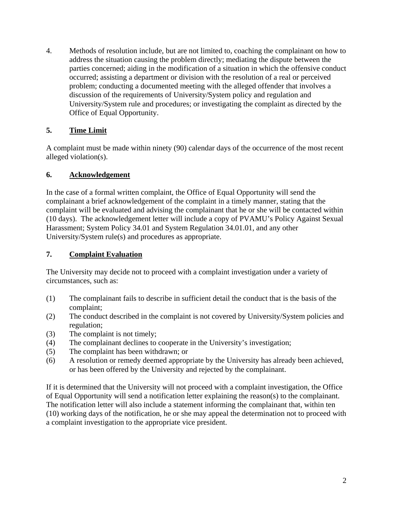4. Methods of resolution include, but are not limited to, coaching the complainant on how to address the situation causing the problem directly; mediating the dispute between the parties concerned; aiding in the modification of a situation in which the offensive conduct occurred; assisting a department or division with the resolution of a real or perceived problem; conducting a documented meeting with the alleged offender that involves a discussion of the requirements of University/System policy and regulation and University/System rule and procedures; or investigating the complaint as directed by the Office of Equal Opportunity.

# **5. Time Limit**

A complaint must be made within ninety (90) calendar days of the occurrence of the most recent alleged violation(s).

### **6. Acknowledgement**

In the case of a formal written complaint, the Office of Equal Opportunity will send the complainant a brief acknowledgement of the complaint in a timely manner, stating that the complaint will be evaluated and advising the complainant that he or she will be contacted within (10 days). The acknowledgement letter will include a copy of PVAMU's Policy Against Sexual Harassment; System Policy 34.01 and System Regulation 34.01.01, and any other University/System rule(s) and procedures as appropriate.

# **7. Complaint Evaluation**

The University may decide not to proceed with a complaint investigation under a variety of circumstances, such as:

- (1) The complainant fails to describe in sufficient detail the conduct that is the basis of the complaint;
- (2) The conduct described in the complaint is not covered by University/System policies and regulation;
- (3) The complaint is not timely;
- (4) The complainant declines to cooperate in the University's investigation;
- (5) The complaint has been withdrawn; or
- (6) A resolution or remedy deemed appropriate by the University has already been achieved, or has been offered by the University and rejected by the complainant.

If it is determined that the University will not proceed with a complaint investigation, the Office of Equal Opportunity will send a notification letter explaining the reason(s) to the complainant. The notification letter will also include a statement informing the complainant that, within ten (10) working days of the notification, he or she may appeal the determination not to proceed with a complaint investigation to the appropriate vice president.